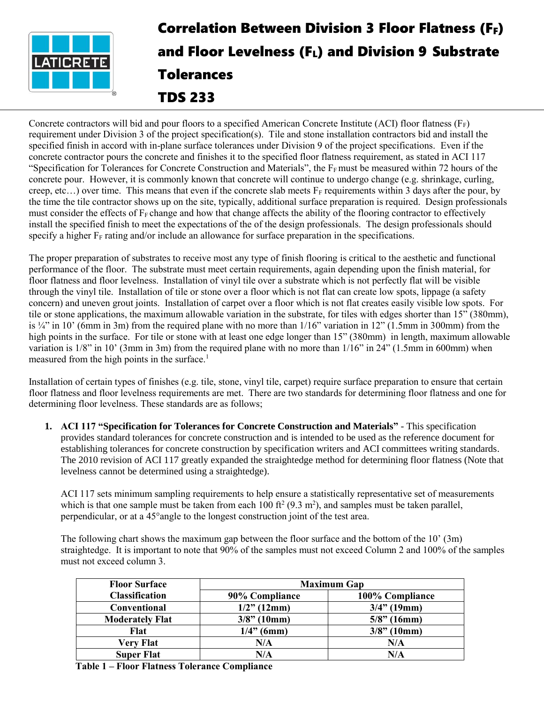

## Correlation Between Division 3 Floor Flatness (FF) and Floor Levelness (FL) and Division 9 Substrate Tolerances TDS 233

Concrete contractors will bid and pour floors to a specified American Concrete Institute (ACI) floor flatness ( $F_F$ ) requirement under Division 3 of the project specification(s). Tile and stone installation contractors bid and install the specified finish in accord with in-plane surface tolerances under Division 9 of the project specifications. Even if the concrete contractor pours the concrete and finishes it to the specified floor flatness requirement, as stated in ACI 117 "Specification for Tolerances for Concrete Construction and Materials", the  $F_F$ must be measured within 72 hours of the concrete pour. However, it is commonly known that concrete will continue to undergo change (e.g. shrinkage, curling, creep, etc...) over time. This means that even if the concrete slab meets  $F_F$  requirements within 3 days after the pour, by the time the tile contractor shows up on the site, typically, additional surface preparation is required. Design professionals must consider the effects of  $F_F$  change and how that change affects the ability of the flooring contractor to effectively install the specified finish to meet the expectations of the of the design professionals. The design professionals should specify a higher  $F_F$  rating and/or include an allowance for surface preparation in the specifications.

The proper preparation of substrates to receive most any type of finish flooring is critical to the aesthetic and functional performance of the floor. The substrate must meet certain requirements, again depending upon the finish material, for floor flatness and floor levelness. Installation of vinyl tile over a substrate which is not perfectly flat will be visible through the vinyl tile. Installation of tile or stone over a floor which is not flat can create low spots, lippage (a safety concern) and uneven grout joints. Installation of carpet over a floor which is not flat creates easily visible low spots. For tile or stone applications, the maximum allowable variation in the substrate, for tiles with edges shorter than 15" (380mm), is  $\frac{1}{4}$ " in 10' (6mm in 3m) from the required plane with no more than  $1/16$ " variation in 12" (1.5mm in 300mm) from the high points in the surface. For tile or stone with at least one edge longer than 15" (380mm) in length, maximum allowable variation is 1/8" in 10' (3mm in 3m) from the required plane with no more than 1/16" in 24" (1.5mm in 600mm) when measured from the high points in the surface. $<sup>1</sup>$ </sup>

Installation of certain types of finishes (e.g. tile, stone, vinyl tile, carpet) require surface preparation to ensure that certain floor flatness and floor levelness requirements are met. There are two standards for determining floor flatness and one for determining floor levelness. These standards are as follows;

**1. ACI 117 "Specification for Tolerances for Concrete Construction and Materials"** - This specification provides standard tolerances for concrete construction and is intended to be used as the reference document for establishing tolerances for concrete construction by specification writers and ACI committees writing standards. The 2010 revision of ACI 117 greatly expanded the straightedge method for determining floor flatness (Note that levelness cannot be determined using a straightedge).

ACI 117 sets minimum sampling requirements to help ensure a statistically representative set of measurements which is that one sample must be taken from each  $100 \text{ ft}^2 (9.3 \text{ m}^2)$ , and samples must be taken parallel, perpendicular, or at a 45°angle to the longest construction joint of the test area.

The following chart shows the maximum gap between the floor surface and the bottom of the 10' (3m) straightedge. It is important to note that 90% of the samples must not exceed Column 2 and 100% of the samples must not exceed column 3.

| <b>Floor Surface</b>   | <b>Maximum Gap</b> |                 |  |
|------------------------|--------------------|-----------------|--|
| <b>Classification</b>  | 90% Compliance     | 100% Compliance |  |
| <b>Conventional</b>    | $1/2$ " (12mm)     | $3/4$ " (19mm)  |  |
| <b>Moderately Flat</b> | $3/8$ " (10mm)     | $5/8$ " (16mm)  |  |
| Flat                   | $1/4$ " (6mm)      | $3/8$ " (10mm)  |  |
| <b>Very Flat</b>       | N/A                | N/A             |  |
| <b>Super Flat</b>      | N/A                | N/A             |  |

**Table 1 – Floor Flatness Tolerance Compliance**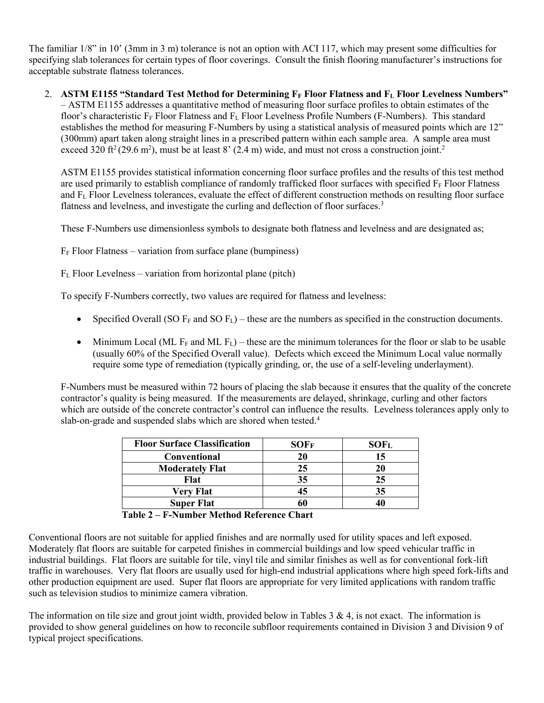The familiar 1/8" in 10' (3mm in 3 m) tolerance is not an option with ACI 117, which may present some difficulties for specifying slab tolerances for certain types of floor coverings. Consult the finish flooring manufacturer's instructions for acceptable substrate flatness tolerances.

2. **ASTM E1155 "Standard Test Method for Determining F<sup>F</sup> Floor Flatness and F<sup>L</sup> Floor Levelness Numbers"** – ASTM E1155 addresses a quantitative method of measuring floor surface profiles to obtain estimates of the floor's characteristic F<sub>F</sub> Floor Flatness and F<sub>L</sub> Floor Levelness Profile Numbers (F-Numbers). This standard establishes the method for measuring F-Numbers by using a statistical analysis of measured points which are 12" (300mm) apart taken along straight lines in a prescribed pattern within each sample area. A sample area must exceed 320 ft<sup>2</sup> (29.6 m<sup>2</sup>), must be at least 8' (2.4 m) wide, and must not cross a construction joint.<sup>2</sup>

ASTM E1155 provides statistical information concerning floor surface profiles and the results of this test method are used primarily to establish compliance of randomly trafficked floor surfaces with specified  $F_F$  Floor Flatness and F<sup>L</sup> Floor Levelness tolerances, evaluate the effect of different construction methods on resulting floor surface flatness and levelness, and investigate the curling and deflection of floor surfaces.<sup>3</sup>

These F-Numbers use dimensionless symbols to designate both flatness and levelness and are designated as;

 $F_F$  Floor Flatness – variation from surface plane (bumpiness)

 $F<sub>L</sub>$  Floor Levelness – variation from horizontal plane (pitch)

To specify F-Numbers correctly, two values are required for flatness and levelness:

- Specified Overall (SO  $F_F$  and SO  $F_L$ ) these are the numbers as specified in the construction documents.
- Minimum Local (ML F<sub>F</sub> and ML F<sub>L</sub>) these are the minimum tolerances for the floor or slab to be usable (usually 60% of the Specified Overall value). Defects which exceed the Minimum Local value normally require some type of remediation (typically grinding, or, the use of a self-leveling underlayment).

F-Numbers must be measured within 72 hours of placing the slab because it ensures that the quality of the concrete contractor's quality is being measured. If the measurements are delayed, shrinkage, curling and other factors which are outside of the concrete contractor's control can influence the results. Levelness tolerances apply only to slab-on-grade and suspended slabs which are shored when tested.<sup>4</sup>

| <b>Floor Surface Classification</b> | SOFF | SOF <sub>L</sub> |
|-------------------------------------|------|------------------|
| <b>Conventional</b>                 | 20   | 15               |
| <b>Moderately Flat</b>              | 25   |                  |
| Flat                                | 35   | 25               |
| <b>Very Flat</b>                    | 45   | 35               |
| <b>Super Flat</b>                   | 60   |                  |

**Table 2 – F-Number Method Reference Chart**

Conventional floors are not suitable for applied finishes and are normally used for utility spaces and left exposed. Moderately flat floors are suitable for carpeted finishes in commercial buildings and low speed vehicular traffic in industrial buildings. Flat floors are suitable for tile, vinyl tile and similar finishes as well as for conventional fork-lift traffic in warehouses. Very flat floors are usually used for high-end industrial applications where high speed fork-lifts and other production equipment are used. Super flat floors are appropriate for very limited applications with random traffic such as television studios to minimize camera vibration.

The information on tile size and grout joint width, provided below in Tables  $3 \& 4$ , is not exact. The information is provided to show general guidelines on how to reconcile subfloor requirements contained in Division 3 and Division 9 of typical project specifications.